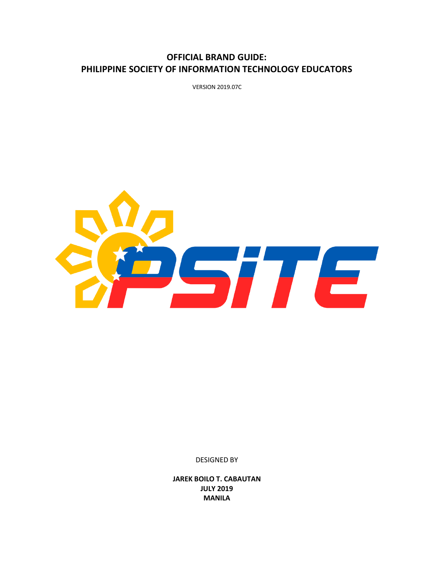# **OFFICIAL BRAND GUIDE: PHILIPPINE SOCIETY OF INFORMATION TECHNOLOGY EDUCATORS**

VERSION 2019.07C



DESIGNED BY

**JAREK BOILO T. CABAUTAN JULY 2019 MANILA**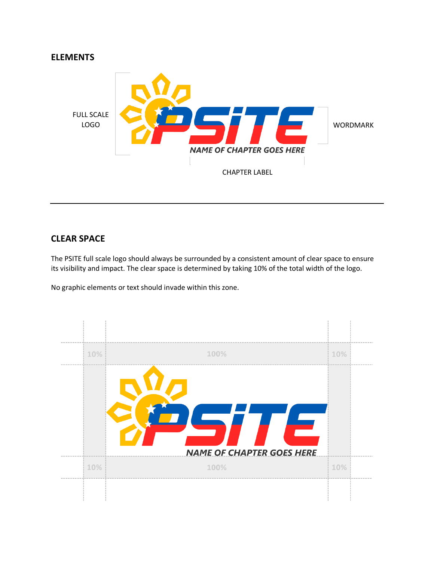



#### **CLEAR SPACE**

The PSITE full scale logo should always be surrounded by a consistent amount of clear space to ensure its visibility and impact. The clear space is determined by taking 10% of the total width of the logo.

No graphic elements or text should invade within this zone.

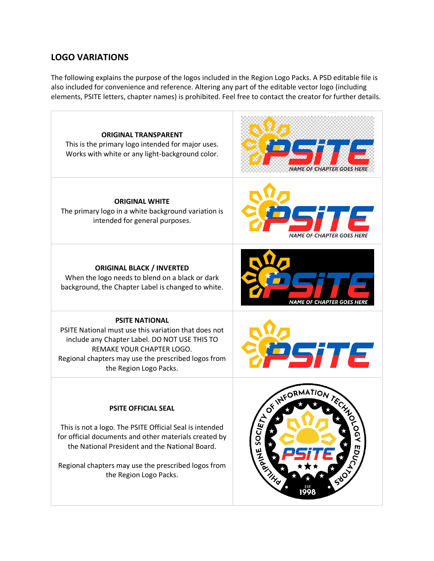# **LOGO VARIATIONS**

The following explains the purpose of the logos included in the Region Logo Packs. A PSD editable file is also included for convenience and reference. Altering any part of the editable vector logo (including elements, PSITE letters, chapter names) is prohibited. Feel free to contact the creator for further details.

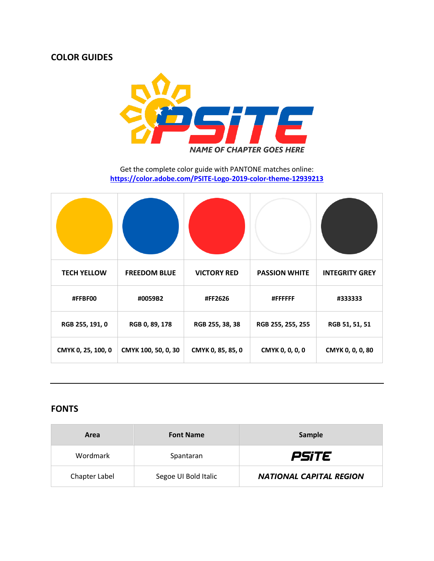### **COLOR GUIDES**



Get the complete color guide with PANTONE matches online: **<https://color.adobe.com/PSITE-Logo-2019-color-theme-12939213>**

| <b>TECH YELLOW</b> | <b>FREEDOM BLUE</b> | <b>VICTORY RED</b> | <b>PASSION WHITE</b> | <b>INTEGRITY GREY</b> |
|--------------------|---------------------|--------------------|----------------------|-----------------------|
| #FFBF00            | #0059B2             | #FF2626            | #FFFFFF              | #333333               |
| RGB 255, 191, 0    | RGB 0, 89, 178      | RGB 255, 38, 38    | RGB 255, 255, 255    | RGB 51, 51, 51        |
| CMYK 0, 25, 100, 0 | CMYK 100, 50, 0, 30 | CMYK 0, 85, 85, 0  | CMYK 0, 0, 0, 0      | CMYK 0, 0, 0, 80      |

### **FONTS**

| Area          | <b>Font Name</b>     | Sample                         |
|---------------|----------------------|--------------------------------|
| Wordmark      | Spantaran            | <i>PSiTE</i>                   |
| Chapter Label | Segoe UI Bold Italic | <b>NATIONAL CAPITAL REGION</b> |